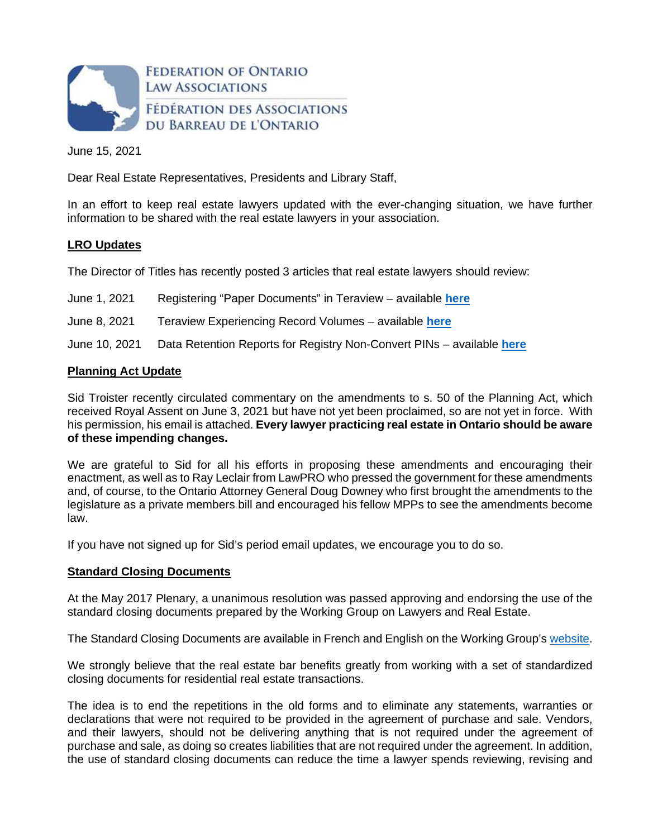

June 15, 2021

Dear Real Estate Representatives, Presidents and Library Staff,

In an effort to keep real estate lawyers updated with the ever-changing situation, we have further information to be shared with the real estate lawyers in your association.

### **LRO Updates**

The Director of Titles has recently posted 3 articles that real estate lawyers should review:

June 1, 2021 Registering "Paper Documents" in Teraview – available **[here](https://www.teraview.ca/wp-content/uploads/2021/06/A-lot-from-the-DOT-paper-registrations-June-1-2021.pdf)**

June 8, 2021 Teraview Experiencing Record Volumes – available **[here](https://www.teraview.ca/wp-content/uploads/2021/06/A-LOT-FROM-THE-DOT-on-RECORD-VOLUMES-and-VERBAL-ADVICE-June-2021.pdf)**

June 10, 2021 Data Retention Reports for Registry Non-Convert PINs – available **[here](https://www.teraview.ca/wp-content/uploads/2021/06/A-LOT-FROM-THE-DOT-on-PII-DATA-RETENTION-REPORTS-FOR-NON-CONVERTS-June-10-2020.pdf)**

### **Planning Act Update**

Sid Troister recently circulated commentary on the amendments to s. 50 of the Planning Act, which received Royal Assent on June 3, 2021 but have not yet been proclaimed, so are not yet in force. With his permission, his email is attached. **Every lawyer practicing real estate in Ontario should be aware of these impending changes.** 

We are grateful to Sid for all his efforts in proposing these amendments and encouraging their enactment, as well as to Ray Leclair from LawPRO who pressed the government for these amendments and, of course, to the Ontario Attorney General Doug Downey who first brought the amendments to the legislature as a private members bill and encouraged his fellow MPPs to see the amendments become law.

If you have not signed up for Sid's period email updates, we encourage you to do so.

# **Standard Closing Documents**

At the May 2017 Plenary, a unanimous resolution was passed approving and endorsing the use of the standard closing documents prepared by the Working Group on Lawyers and Real Estate.

The Standard Closing Documents are available in French and English on the Working Group's [website](https://www.lawyersworkinggroup.com/ontario-standard-closing-document).

We strongly believe that the real estate bar benefits greatly from working with a set of standardized closing documents for residential real estate transactions.

The idea is to end the repetitions in the old forms and to eliminate any statements, warranties or declarations that were not required to be provided in the agreement of purchase and sale. Vendors, and their lawyers, should not be delivering anything that is not required under the agreement of purchase and sale, as doing so creates liabilities that are not required under the agreement. In addition, the use of standard closing documents can reduce the time a lawyer spends reviewing, revising and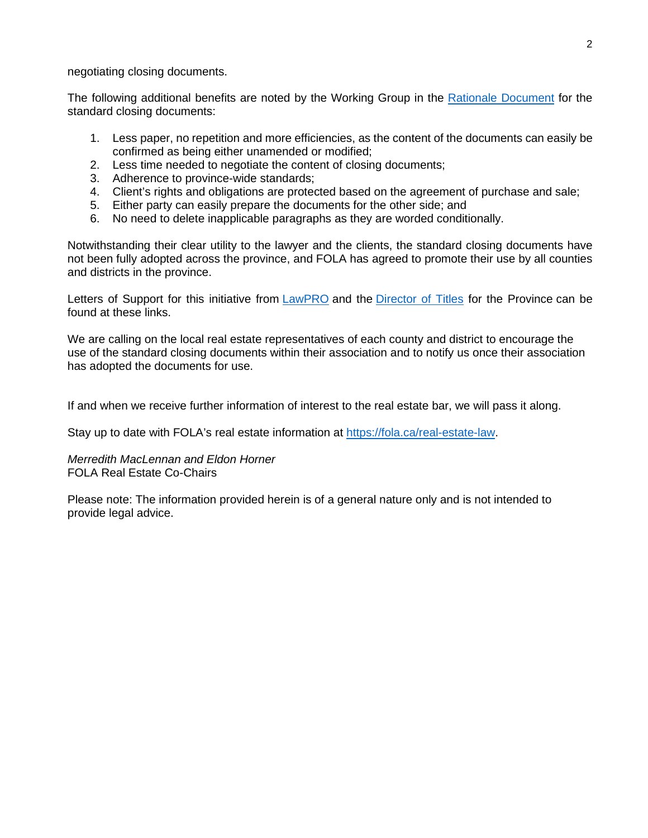negotiating closing documents.

The following additional benefits are noted by the Working Group in the [Rationale Document](https://static1.squarespace.com/static/5977915f893fc02caad30837/t/5a86fb774192028861480a38/1518795642900/Rationale+Document.pdf) for the standard closing documents:

- 1. Less paper, no repetition and more efficiencies, as the content of the documents can easily be confirmed as being either unamended or modified;
- 2. Less time needed to negotiate the content of closing documents;
- 3. Adherence to province-wide standards;
- 4. Client's rights and obligations are protected based on the agreement of purchase and sale;
- 5. Either party can easily prepare the documents for the other side; and
- 6. No need to delete inapplicable paragraphs as they are worded conditionally.

Notwithstanding their clear utility to the lawyer and the clients, the standard closing documents have not been fully adopted across the province, and FOLA has agreed to promote their use by all counties and districts in the province.

Letters of Support for this initiative from [LawPRO](https://img1.wsimg.com/blobby/go/63f6349d-d85d-4511-bc5f-4314d54b45d0/downloads/1cog752g4_693113.pdf?ver=1623761662017) and the [Director of Titles](https://img1.wsimg.com/blobby/go/63f6349d-d85d-4511-bc5f-4314d54b45d0/downloads/1cog756d3_360221.pdf?ver=1623761662017) for the Province can be found at these links.

We are calling on the local real estate representatives of each county and district to encourage the use of the standard closing documents within their association and to notify us once their association has adopted the documents for use.

If and when we receive further information of interest to the real estate bar, we will pass it along.

Stay up to date with FOLA's real estate information at<https://fola.ca/real-estate-law>.

# *Merredith MacLennan and Eldon Horner*  FOLA Real Estate Co-Chairs

Please note: The information provided herein is of a general nature only and is not intended to provide legal advice.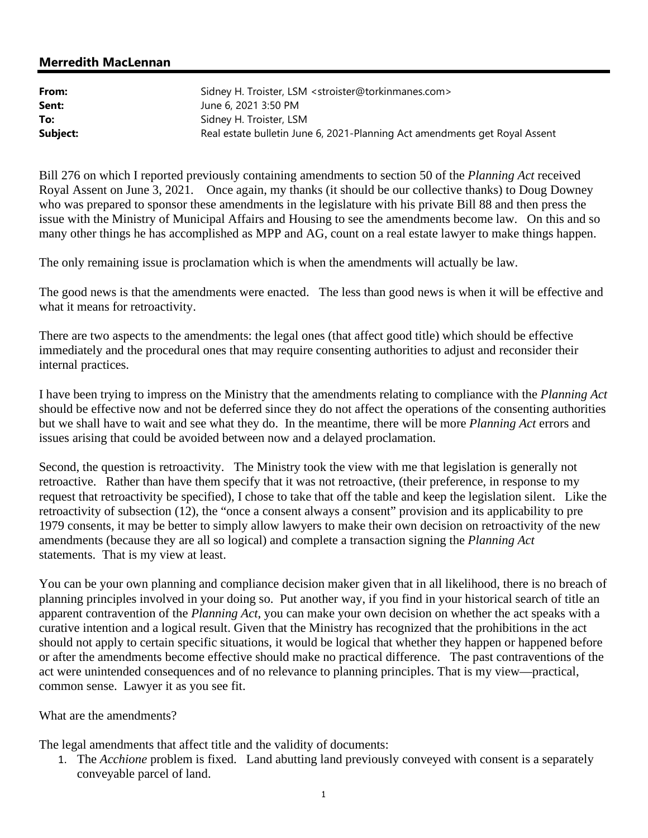# **Merredith MacLennan**

| From:    | Sidney H. Troister, LSM <stroister@torkinmanes.com></stroister@torkinmanes.com> |
|----------|---------------------------------------------------------------------------------|
| Sent:    | June 6, 2021 3:50 PM                                                            |
| To:      | Sidney H. Troister, LSM                                                         |
| Subject: | Real estate bulletin June 6, 2021-Planning Act amendments get Royal Assent      |

Bill 276 on which I reported previously containing amendments to section 50 of the *Planning Act* received Royal Assent on June 3, 2021. Once again, my thanks (it should be our collective thanks) to Doug Downey who was prepared to sponsor these amendments in the legislature with his private Bill 88 and then press the issue with the Ministry of Municipal Affairs and Housing to see the amendments become law. On this and so many other things he has accomplished as MPP and AG, count on a real estate lawyer to make things happen.

The only remaining issue is proclamation which is when the amendments will actually be law.

The good news is that the amendments were enacted. The less than good news is when it will be effective and what it means for retroactivity.

There are two aspects to the amendments: the legal ones (that affect good title) which should be effective immediately and the procedural ones that may require consenting authorities to adjust and reconsider their internal practices.

I have been trying to impress on the Ministry that the amendments relating to compliance with the *Planning Act* should be effective now and not be deferred since they do not affect the operations of the consenting authorities but we shall have to wait and see what they do. In the meantime, there will be more *Planning Act* errors and issues arising that could be avoided between now and a delayed proclamation.

Second, the question is retroactivity. The Ministry took the view with me that legislation is generally not retroactive. Rather than have them specify that it was not retroactive, (their preference, in response to my request that retroactivity be specified), I chose to take that off the table and keep the legislation silent. Like the retroactivity of subsection (12), the "once a consent always a consent" provision and its applicability to pre 1979 consents, it may be better to simply allow lawyers to make their own decision on retroactivity of the new amendments (because they are all so logical) and complete a transaction signing the *Planning Act* statements. That is my view at least.

You can be your own planning and compliance decision maker given that in all likelihood, there is no breach of planning principles involved in your doing so. Put another way, if you find in your historical search of title an apparent contravention of the *Planning Act*, you can make your own decision on whether the act speaks with a curative intention and a logical result. Given that the Ministry has recognized that the prohibitions in the act should not apply to certain specific situations, it would be logical that whether they happen or happened before or after the amendments become effective should make no practical difference. The past contraventions of the act were unintended consequences and of no relevance to planning principles. That is my view—practical, common sense. Lawyer it as you see fit.

What are the amendments?

The legal amendments that affect title and the validity of documents:

1. The *Acchione* problem is fixed. Land abutting land previously conveyed with consent is a separately conveyable parcel of land.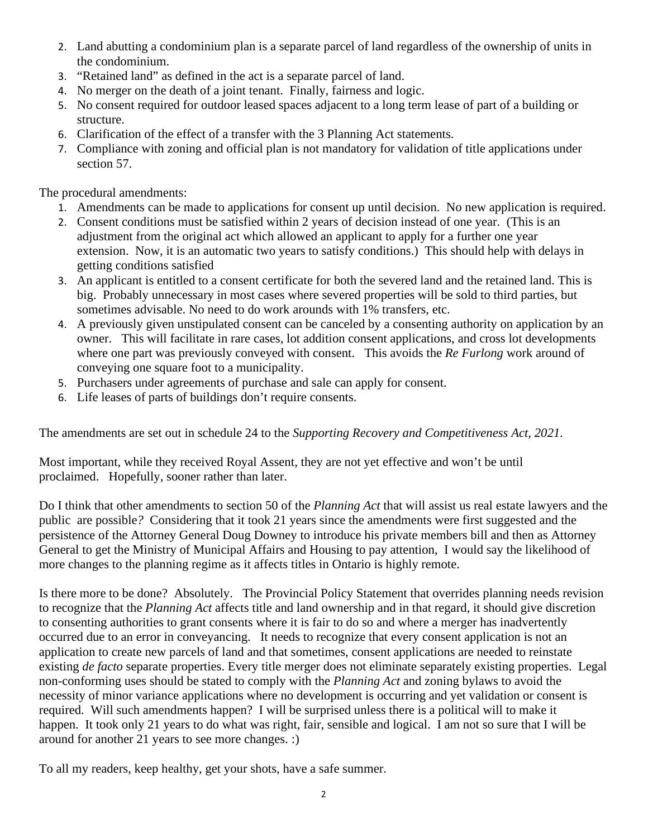- 2. Land abutting a condominium plan is a separate parcel of land regardless of the ownership of units in the condominium.
- 3. "Retained land" as defined in the act is a separate parcel of land.
- 4. No merger on the death of a joint tenant. Finally, fairness and logic.
- 5. No consent required for outdoor leased spaces adjacent to a long term lease of part of a building or structure.
- 6. Clarification of the effect of a transfer with the 3 Planning Act statements.
- 7. Compliance with zoning and official plan is not mandatory for validation of title applications under section 57.

The procedural amendments:

- 1. Amendments can be made to applications for consent up until decision. No new application is required.
- 2. Consent conditions must be satisfied within 2 years of decision instead of one year. (This is an adjustment from the original act which allowed an applicant to apply for a further one year extension. Now, it is an automatic two years to satisfy conditions.) This should help with delays in getting conditions satisfied
- 3. An applicant is entitled to a consent certificate for both the severed land and the retained land. This is big. Probably unnecessary in most cases where severed properties will be sold to third parties, but sometimes advisable. No need to do work arounds with 1% transfers, etc.
- 4. A previously given unstipulated consent can be canceled by a consenting authority on application by an owner. This will facilitate in rare cases, lot addition consent applications, and cross lot developments where one part was previously conveyed with consent. This avoids the *Re Furlong* work around of conveying one square foot to a municipality.
- 5. Purchasers under agreements of purchase and sale can apply for consent.
- 6. Life leases of parts of buildings don't require consents.

The amendments are set out in schedule 24 to the *Supporting Recovery and Competitiveness Act, 2021.*

Most important, while they received Royal Assent, they are not yet effective and won't be until proclaimed. Hopefully, sooner rather than later.

Do I think that other amendments to section 50 of the *Planning Act* that will assist us real estate lawyers and the public are possible*?* Considering that it took 21 years since the amendments were first suggested and the persistence of the Attorney General Doug Downey to introduce his private members bill and then as Attorney General to get the Ministry of Municipal Affairs and Housing to pay attention, I would say the likelihood of more changes to the planning regime as it affects titles in Ontario is highly remote.

Is there more to be done? Absolutely. The Provincial Policy Statement that overrides planning needs revision to recognize that the *Planning Act* affects title and land ownership and in that regard, it should give discretion to consenting authorities to grant consents where it is fair to do so and where a merger has inadvertently occurred due to an error in conveyancing. It needs to recognize that every consent application is not an application to create new parcels of land and that sometimes, consent applications are needed to reinstate existing *de facto* separate properties. Every title merger does not eliminate separately existing properties. Legal non-conforming uses should be stated to comply with the *Planning Act* and zoning bylaws to avoid the necessity of minor variance applications where no development is occurring and yet validation or consent is required. Will such amendments happen? I will be surprised unless there is a political will to make it happen. It took only 21 years to do what was right, fair, sensible and logical. I am not so sure that I will be around for another 21 years to see more changes. :)

To all my readers, keep healthy, get your shots, have a safe summer.